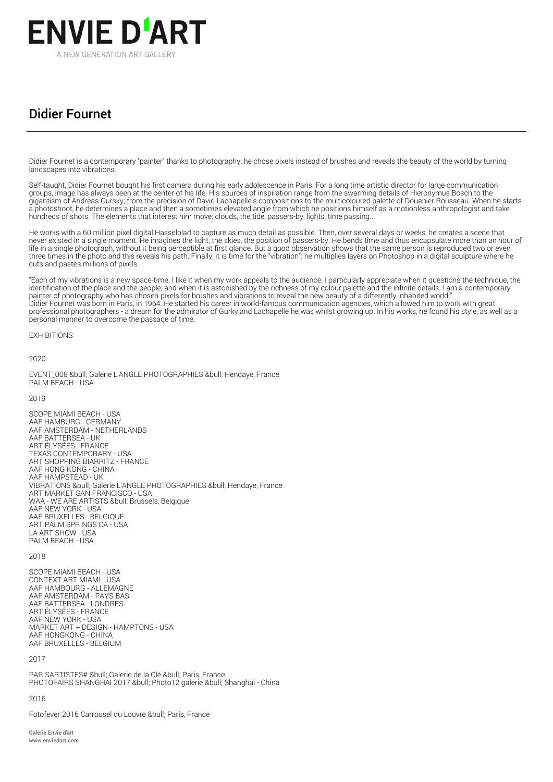

## Didier Fournet

Didier Fournet is a contemporary "painter" thanks to photography: he chose pixels instead of brushes and reveals the beauty of the world by turning landscapes into vibrations.

Self-taught, Didier Fournet bought his first camera during his early adolescence in Paris. For a long time artistic director for large communication groups, image has always been at the center of his life. His sources of inspiration range from the swarming details of Hieronymus Bosch to the gigantism of Andreas Gursky; from the precision of David Lachapelle's compositions to the multicoloured palette of Douanier Rousseau. When he starts a photoshoot, he determines a place and then a sometimes elevated angle from which he positions himself as a motionless anthropologist and take hundreds of shots. The elements that interest him move: clouds, the tide, passers-by, lights, time passing...

He works with a 60 million pixel digital Hasselblad to capture as much detail as possible. Then, over several days or weeks, he creates a scene that never existed in a single moment. He imagines the light, the skies, the position of passers-by. He bends time and thus encapsulate more than an hour of life in a single photograph, without it being perceptible at first glance. But a good observation shows that the same person is reproduced two or even three times in the photo and this reveals his path. Finally, it is time for the "vibration": he multiplies layers on Photoshop in a digital sculpture where he cuts and pastes millions of pixels.

"Each of my vibrations is a new space-time. I like it when my work appeals to the audience. I particularly appreciate when it questions the technique, the identification of the place and the people, and when it is astonished by the richness of my colour palette and the infinite details. I am a contemporary painter of photography who has chosen pixels for brushes and vibrations to reveal the new beauty of a differently inhabited world." Didier Fournet was born in Paris, in 1964. He started his career in world-famous communication agencies, which allowed him to work with great professional photographers - a dream for the admirator of Gurky and Lachapelle he was whilst growing up. In his works, he found his style, as well as a personal manner to overcome the passage of time.

**EXHIBITIONS** 

2020

EVENT\_008 • Galerie L'ANGLE PHOTOGRAPHIES • Hendaye, France PALM BEACH - USA

2019

SCOPE MIAMI BEACH - USA AAF HAMBURG - GERMANY AAF AMSTERDAM - NETHERLANDS AAF BATTERSEA - UK ART ÉLYSÉES - FRANCE TEXAS CONTEMPORARY - USA ART SHOPPING BIARRITZ - FRANCE AAF HONG KONG - CHINA AAF HAMPSTEAD - UK VIBRATIONS & bull: Galerie L'ANGLE PHOTOGRAPHIES & bull: Hendaye, France ART MARKET SAN FRANCISCO - USA WAA - WE ARE ARTISTS • Brussels, Belgique AAF NEW YORK - USA AAF BRUXELLES - BELGIQUE ART PALM SPRINGS CA - USA LA ART SHOW - USA PALM BEACH - USA

## 2018

SCOPE MIAMI BEACH - USA CONTEXT ART MIAMI - USA AAF HAMBOURG - ALLEMAGNE AAF AMSTERDAM - PAYS-BAS AAF BATTERSEA - LONDRES ART ÉLYSÉES - FRANCE AAF NEW YORK - USA MARKET ART + DESIGN - HAMPTONS - USA AAF HONGKONG - CHINA AAF BRUXELLES - BELGIUM

## $2017$

PARISARTISTES# & bull; Galerie de la Clé & bull; Paris, France PHOTOFAIRS SHANGHAI 2017 • Photo12 galerie • Shanghai - China

## 2016

Fotofever 2016 Carrousel du Louvre • Paris, France

Galerie Envie d'art www.enviedart.com